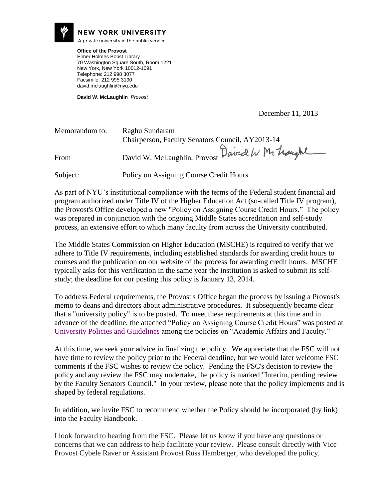

### **NEW YORK UNIVERSITY**

A private university in the public service

**Office of the Provost** Elmer Holmes Bobst Library 70 Washington Square South, Room 1221 New York, New York 10012-1091 Telephone: 212 998 3077 Facsimile: 212 995 3190 david.mclaughlin@nyu.edu

**David W. McLaughlin** *Provost*

December 11, 2013

| Memorandum to: | Raghu Sundaram<br>Chairperson, Faculty Senators Council, AY2013-14 |
|----------------|--------------------------------------------------------------------|
| From           | David W. McLaughlin, Provost David W Mr troughl                    |
| Subject:       | Policy on Assigning Course Credit Hours                            |

As part of NYU's institutional compliance with the terms of the Federal student financial aid program authorized under Title IV of the Higher Education Act (so-called Title IV program), the Provost's Office developed a new "Policy on Assigning Course Credit Hours." The policy was prepared in conjunction with the ongoing Middle States accreditation and self-study process, an extensive effort to which many faculty from across the University contributed.

The Middle States Commission on Higher Education (MSCHE) is required to verify that we adhere to Title IV requirements, including established standards for awarding credit hours to courses and the publication on our website of the process for awarding credit hours. MSCHE typically asks for this verification in the same year the institution is asked to submit its selfstudy; the deadline for our posting this policy is January 13, 2014.

To address Federal requirements, the Provost's Office began the process by issuing a Provost's memo to deans and directors about administrative procedures. It subsequently became clear that a "university policy" is to be posted. To meet these requirements at this time and in advance of the deadline, the attached "Policy on Assigning Course Credit Hours" was posted at [University Policies and Guidelines](http://www.nyu.edu/about/policies-guidelines-compliance/policies-and-guidelines.html) among the policies on "Academic Affairs and Faculty."

At this time, we seek your advice in finalizing the policy. We appreciate that the FSC will not have time to review the policy prior to the Federal deadline, but we would later welcome FSC comments if the FSC wishes to review the policy. Pending the FSC's decision to review the policy and any review the FSC may undertake, the policy is marked "Interim, pending review by the Faculty Senators Council." In your review, please note that the policy implements and is shaped by federal regulations.

In addition, we invite FSC to recommend whether the Policy should be incorporated (by link) into the Faculty Handbook.

I look forward to hearing from the FSC. Please let us know if you have any questions or concerns that we can address to help facilitate your review. Please consult directly with Vice Provost Cybele Raver or Assistant Provost Russ Hamberger, who developed the policy.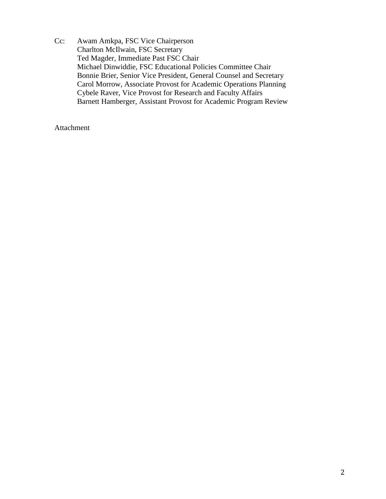Cc: Awam Amkpa, FSC Vice Chairperson Charlton McIlwain, FSC Secretary Ted Magder, Immediate Past FSC Chair Michael Dinwiddie, FSC Educational Policies Committee Chair Bonnie Brier, Senior Vice President, General Counsel and Secretary Carol Morrow, Associate Provost for Academic Operations Planning Cybele Raver, Vice Provost for Research and Faculty Affairs Barnett Hamberger, Assistant Provost for Academic Program Review

Attachment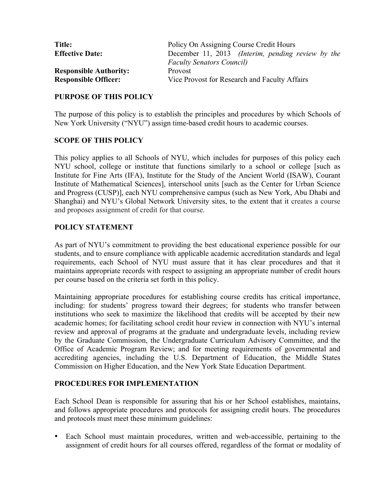| <b>Title:</b>                 | Policy On Assigning Course Credit Hours           |
|-------------------------------|---------------------------------------------------|
| <b>Effective Date:</b>        | December 11, 2013 (Interim, pending review by the |
|                               | <b>Faculty Senators Council)</b>                  |
| <b>Responsible Authority:</b> | <b>Provost</b>                                    |
| <b>Responsible Officer:</b>   | Vice Provost for Research and Faculty Affairs     |

## **PURPOSE OF THIS POLICY**

The purpose of this policy is to establish the principles and procedures by which Schools of New York University ("NYU") assign time-based credit hours to academic courses.

## **SCOPE OF THIS POLICY**

This policy applies to all Schools of NYU, which includes for purposes of this policy each NYU school, college or institute that functions similarly to a school or college [such as Institute for Fine Arts (IFA), Institute for the Study of the Ancient World (ISAW), Courant Institute of Mathematical Sciences], interschool units [such as the Center for Urban Science and Progress (CUSP)], each NYU comprehensive campus (such as New York, Abu Dhabi and Shanghai) and NYU's Global Network University sites, to the extent that it creates a course and proposes assignment of credit for that course.

# **POLICY STATEMENT**

As part of NYU's commitment to providing the best educational experience possible for our students, and to ensure compliance with applicable academic accreditation standards and legal requirements, each School of NYU must assure that it has clear procedures and that it maintains appropriate records with respect to assigning an appropriate number of credit hours per course based on the criteria set forth in this policy.

Maintaining appropriate procedures for establishing course credits has critical importance, including: for students' progress toward their degrees; for students who transfer between institutions who seek to maximize the likelihood that credits will be accepted by their new academic homes; for facilitating school credit hour review in connection with NYU's internal review and approval of programs at the graduate and undergraduate levels, including review by the Graduate Commission, the Undergraduate Curriculum Advisory Committee, and the Office of Academic Program Review; and for meeting requirements of governmental and accrediting agencies, including the U.S. Department of Education, the Middle States Commission on Higher Education, and the New York State Education Department.

### **PROCEDURES FOR IMPLEMENTATION**

Each School Dean is responsible for assuring that his or her School establishes, maintains, and follows appropriate procedures and protocols for assigning credit hours. The procedures and protocols must meet these minimum guidelines:

• Each School must maintain procedures, written and web-accessible, pertaining to the assignment of credit hours for all courses offered, regardless of the format or modality of